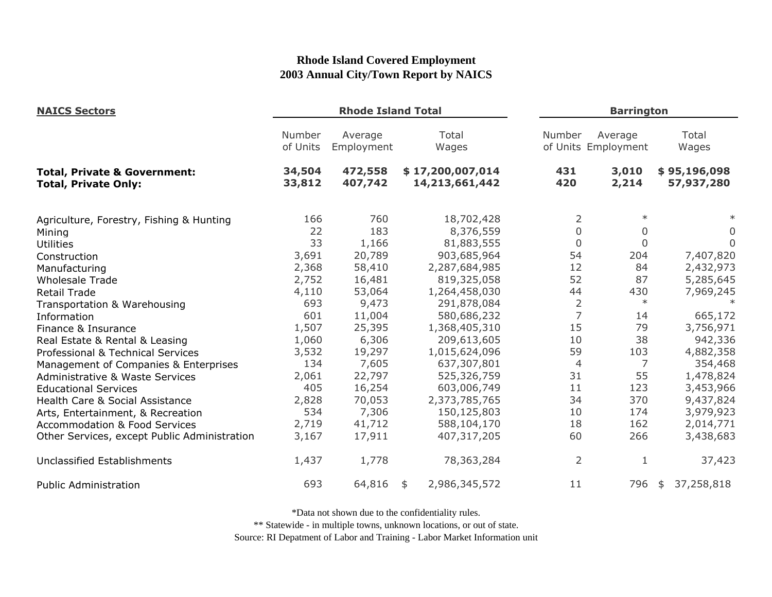| <b>NAICS Sectors</b>                                                   | <b>Rhode Island Total</b> |                       |                                    | <b>Barrington</b> |                                |                            |  |
|------------------------------------------------------------------------|---------------------------|-----------------------|------------------------------------|-------------------|--------------------------------|----------------------------|--|
|                                                                        | Number<br>of Units        | Average<br>Employment | Total<br>Wages                     | Number            | Average<br>of Units Employment | Total<br>Wages             |  |
| <b>Total, Private &amp; Government:</b><br><b>Total, Private Only:</b> | 34,504<br>33,812          | 472,558<br>407,742    | \$17,200,007,014<br>14,213,661,442 | 431<br>420        | 3,010<br>2,214                 | \$95,196,098<br>57,937,280 |  |
| Agriculture, Forestry, Fishing & Hunting                               | 166                       | 760                   | 18,702,428                         | 2                 | $\ast$                         |                            |  |
| Mining                                                                 | 22                        | 183                   | 8,376,559                          | $\mathbf 0$       | 0                              | 0                          |  |
| <b>Utilities</b>                                                       | 33                        | 1,166                 | 81,883,555                         | $\overline{0}$    | $\mathbf{0}$                   | $\mathbf{0}$               |  |
| Construction                                                           | 3,691                     | 20,789                | 903,685,964                        | 54                | 204                            | 7,407,820                  |  |
| Manufacturing                                                          | 2,368                     | 58,410                | 2,287,684,985                      | 12                | 84                             | 2,432,973                  |  |
| <b>Wholesale Trade</b>                                                 | 2,752                     | 16,481                | 819,325,058                        | 52                | 87                             | 5,285,645                  |  |
| <b>Retail Trade</b>                                                    | 4,110                     | 53,064                | 1,264,458,030                      | 44                | 430                            | 7,969,245                  |  |
| Transportation & Warehousing                                           | 693                       | 9,473                 | 291,878,084                        | $\overline{2}$    | $\ast$                         |                            |  |
| Information                                                            | 601                       | 11,004                | 580,686,232                        | $\overline{7}$    | 14                             | 665,172                    |  |
| Finance & Insurance                                                    | 1,507                     | 25,395                | 1,368,405,310                      | 15                | 79                             | 3,756,971                  |  |
| Real Estate & Rental & Leasing                                         | 1,060                     | 6,306                 | 209,613,605                        | 10                | 38                             | 942,336                    |  |
| Professional & Technical Services                                      | 3,532                     | 19,297                | 1,015,624,096                      | 59                | 103                            | 4,882,358                  |  |
| Management of Companies & Enterprises                                  | 134                       | 7,605                 | 637,307,801                        | $\overline{4}$    | 7                              | 354,468                    |  |
| Administrative & Waste Services                                        | 2,061                     | 22,797                | 525,326,759                        | 31                | 55                             | 1,478,824                  |  |
| <b>Educational Services</b>                                            | 405                       | 16,254                | 603,006,749                        | 11                | 123                            | 3,453,966                  |  |
| Health Care & Social Assistance                                        | 2,828                     | 70,053                | 2,373,785,765                      | 34                | 370                            | 9,437,824                  |  |
| Arts, Entertainment, & Recreation                                      | 534                       | 7,306                 | 150,125,803                        | 10                | 174                            | 3,979,923                  |  |
| <b>Accommodation &amp; Food Services</b>                               | 2,719                     | 41,712                | 588,104,170                        | 18                | 162                            | 2,014,771                  |  |
| Other Services, except Public Administration                           | 3,167                     | 17,911                | 407,317,205                        | 60                | 266                            | 3,438,683                  |  |
| Unclassified Establishments                                            | 1,437                     | 1,778                 | 78,363,284                         | 2                 | 1                              | 37,423                     |  |
| <b>Public Administration</b>                                           | 693                       | 64,816                | 2,986,345,572<br>\$                | 11                | 796                            | 37,258,818<br>\$           |  |

\*Data not shown due to the confidentiality rules.

\*\* Statewide - in multiple towns, unknown locations, or out of state.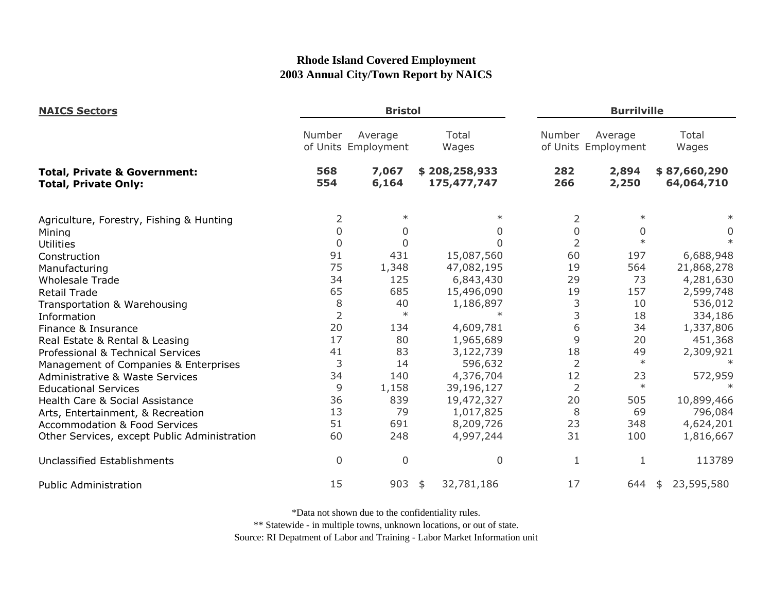| <b>NAICS Sectors</b>                                                   |                | <b>Bristol</b>                 |                              |                | <b>Burrilville</b>             |                            |  |
|------------------------------------------------------------------------|----------------|--------------------------------|------------------------------|----------------|--------------------------------|----------------------------|--|
|                                                                        | Number         | Average<br>of Units Employment | Total<br>Wages               | Number         | Average<br>of Units Employment | Total<br>Wages             |  |
| <b>Total, Private &amp; Government:</b><br><b>Total, Private Only:</b> | 568<br>554     | 7,067<br>6,164                 | \$208,258,933<br>175,477,747 | 282<br>266     | 2,894<br>2,250                 | \$87,660,290<br>64,064,710 |  |
| Agriculture, Forestry, Fishing & Hunting                               | 2              | $\ast$                         | $\ast$                       | 2              | $\ast$                         |                            |  |
| Mining                                                                 | $\mathbf 0$    | $\Omega$                       | 0                            | 0              | $\Omega$                       | 0                          |  |
| Utilities                                                              | $\mathbf 0$    | $\mathbf 0$                    | 0                            | $\overline{2}$ | $\ast$                         |                            |  |
| Construction                                                           | 91             | 431                            | 15,087,560                   | 60             | 197                            | 6,688,948                  |  |
| Manufacturing                                                          | 75             | 1,348                          | 47,082,195                   | 19             | 564                            | 21,868,278                 |  |
| <b>Wholesale Trade</b>                                                 | 34             | 125                            | 6,843,430                    | 29             | 73                             | 4,281,630                  |  |
| <b>Retail Trade</b>                                                    | 65             | 685                            | 15,496,090                   | 19             | 157                            | 2,599,748                  |  |
| Transportation & Warehousing                                           | 8              | 40                             | 1,186,897                    | 3              | 10                             | 536,012                    |  |
| Information                                                            | $\overline{2}$ | $\ast$                         | $\ast$                       | 3              | 18                             | 334,186                    |  |
| Finance & Insurance                                                    | 20             | 134                            | 4,609,781                    | 6              | 34                             | 1,337,806                  |  |
| Real Estate & Rental & Leasing                                         | 17             | 80                             | 1,965,689                    | 9              | 20                             | 451,368                    |  |
| Professional & Technical Services                                      | 41             | 83                             | 3,122,739                    | 18             | 49                             | 2,309,921                  |  |
| Management of Companies & Enterprises                                  | 3              | 14                             | 596,632                      | $\overline{2}$ | $\ast$                         |                            |  |
| Administrative & Waste Services                                        | 34             | 140                            | 4,376,704                    | 12             | 23                             | 572,959                    |  |
| <b>Educational Services</b>                                            | 9              | 1,158                          | 39,196,127                   | $\overline{2}$ | $\ast$                         |                            |  |
| Health Care & Social Assistance                                        | 36             | 839                            | 19,472,327                   | 20             | 505                            | 10,899,466                 |  |
| Arts, Entertainment, & Recreation                                      | 13             | 79                             | 1,017,825                    | 8              | 69                             | 796,084                    |  |
| <b>Accommodation &amp; Food Services</b>                               | 51             | 691                            | 8,209,726                    | 23             | 348                            | 4,624,201                  |  |
| Other Services, except Public Administration                           | 60             | 248                            | 4,997,244                    | 31             | 100                            | 1,816,667                  |  |
| Unclassified Establishments                                            | $\mathbf 0$    | $\mathbf 0$                    | 0                            | 1              | 1                              | 113789                     |  |
| <b>Public Administration</b>                                           | 15             | 903                            | 32,781,186<br>\$             | 17             | 644                            | 23,595,580<br>\$           |  |

\*Data not shown due to the confidentiality rules.

\*\* Statewide - in multiple towns, unknown locations, or out of state.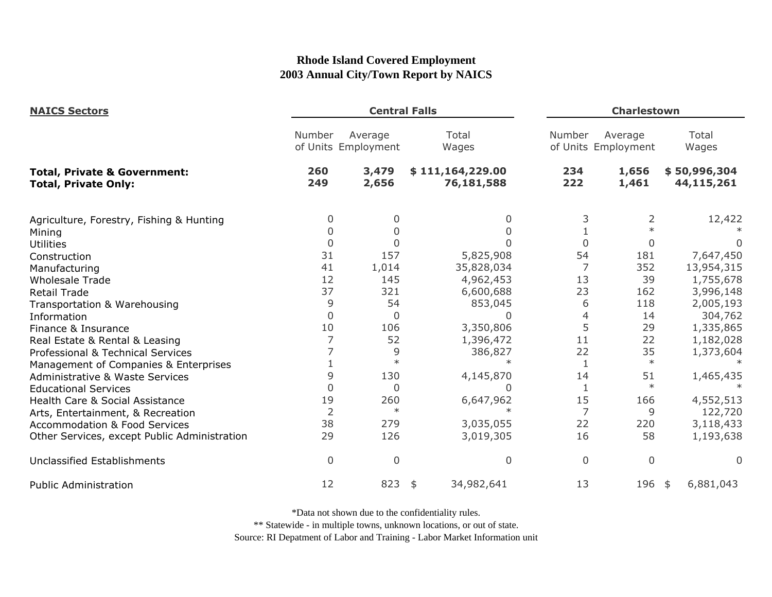| <b>NAICS Sectors</b>                                                   |                | <b>Central Falls</b>           |                                |            | <b>Charlestown</b>             |                            |  |  |
|------------------------------------------------------------------------|----------------|--------------------------------|--------------------------------|------------|--------------------------------|----------------------------|--|--|
|                                                                        | Number         | Average<br>of Units Employment | Total<br>Wages                 | Number     | Average<br>of Units Employment | Total<br>Wages             |  |  |
| <b>Total, Private &amp; Government:</b><br><b>Total, Private Only:</b> | 260<br>249     | 3,479<br>2,656                 | \$111,164,229.00<br>76,181,588 | 234<br>222 | 1,656<br>1,461                 | \$50,996,304<br>44,115,261 |  |  |
| Agriculture, Forestry, Fishing & Hunting                               | 0              | 0                              | 0                              | 3          | 2                              | 12,422                     |  |  |
| Mining                                                                 |                | 0                              |                                |            | $\ast$                         |                            |  |  |
| <b>Utilities</b>                                                       | 0              | 0                              |                                | 0          | 0                              |                            |  |  |
| Construction                                                           | 31             | 157                            | 5,825,908                      | 54         | 181                            | 7,647,450                  |  |  |
| Manufacturing                                                          | 41             | 1,014                          | 35,828,034                     | 7          | 352                            | 13,954,315                 |  |  |
| <b>Wholesale Trade</b>                                                 | 12             | 145                            | 4,962,453                      | 13         | 39                             | 1,755,678                  |  |  |
| <b>Retail Trade</b>                                                    | 37             | 321                            | 6,600,688                      | 23         | 162                            | 3,996,148                  |  |  |
| Transportation & Warehousing                                           | 9              | 54                             | 853,045                        | 6          | 118                            | 2,005,193                  |  |  |
| Information                                                            | $\Omega$       | $\mathbf 0$                    | ∩                              | 4          | 14                             | 304,762                    |  |  |
| Finance & Insurance                                                    | 10             | 106                            | 3,350,806                      | 5          | 29                             | 1,335,865                  |  |  |
| Real Estate & Rental & Leasing                                         |                | 52                             | 1,396,472                      | 11         | 22                             | 1,182,028                  |  |  |
| Professional & Technical Services                                      |                | 9                              | 386,827                        | 22         | 35                             | 1,373,604                  |  |  |
| Management of Companies & Enterprises                                  |                | $\ast$                         |                                | 1          | $\ast$                         |                            |  |  |
| <b>Administrative &amp; Waste Services</b>                             | 9              | 130                            | 4,145,870                      | 14         | 51                             | 1,465,435                  |  |  |
| <b>Educational Services</b>                                            | $\Omega$       | 0                              | O                              | 1          | $\ast$                         |                            |  |  |
| Health Care & Social Assistance                                        | 19             | 260                            | 6,647,962                      | 15         | 166                            | 4,552,513                  |  |  |
| Arts, Entertainment, & Recreation                                      | $\overline{2}$ | $\ast$                         |                                | 7          | 9                              | 122,720                    |  |  |
| <b>Accommodation &amp; Food Services</b>                               | 38             | 279                            | 3,035,055                      | 22         | 220                            | 3,118,433                  |  |  |
| Other Services, except Public Administration                           | 29             | 126                            | 3,019,305                      | 16         | 58                             | 1,193,638                  |  |  |
| <b>Unclassified Establishments</b>                                     | $\overline{0}$ | $\mathbf 0$                    | 0                              | 0          | $\Omega$                       | $\Omega$                   |  |  |
| <b>Public Administration</b>                                           | 12             | 823                            | 34,982,641<br>\$               | 13         | 196                            | 6,881,043<br>-\$           |  |  |

\*Data not shown due to the confidentiality rules.

\*\* Statewide - in multiple towns, unknown locations, or out of state.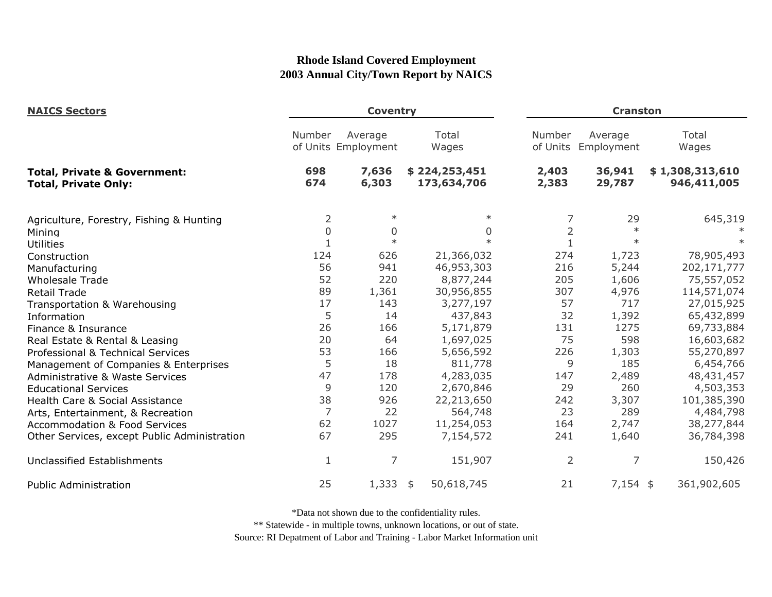| <b>NAICS Sectors</b>                                                   |            | <b>Coventry</b>                |                              | <b>Cranston</b>    |                       |                                |
|------------------------------------------------------------------------|------------|--------------------------------|------------------------------|--------------------|-----------------------|--------------------------------|
|                                                                        | Number     | Average<br>of Units Employment | Total<br>Wages               | Number<br>of Units | Average<br>Employment | Total<br>Wages                 |
| <b>Total, Private &amp; Government:</b><br><b>Total, Private Only:</b> | 698<br>674 | 7,636<br>6,303                 | \$224,253,451<br>173,634,706 | 2,403<br>2,383     | 36,941<br>29,787      | \$1,308,313,610<br>946,411,005 |
| Agriculture, Forestry, Fishing & Hunting                               | 2          | $\ast$                         | $\ast$                       | 7                  | 29                    | 645,319                        |
| Mining                                                                 | $\Omega$   | $\mathbf 0$                    | 0                            | $\overline{2}$     | $\ast$                |                                |
| <b>Utilities</b>                                                       |            | $\ast$                         | $\ast$                       | $1\,$              | $\ast$                |                                |
| Construction                                                           | 124        | 626                            | 21,366,032                   | 274                | 1,723                 | 78,905,493                     |
| Manufacturing                                                          | 56         | 941                            | 46,953,303                   | 216                | 5,244                 | 202,171,777                    |
| <b>Wholesale Trade</b>                                                 | 52         | 220                            | 8,877,244                    | 205                | 1,606                 | 75,557,052                     |
| <b>Retail Trade</b>                                                    | 89         | 1,361                          | 30,956,855                   | 307                | 4,976                 | 114,571,074                    |
| Transportation & Warehousing                                           | 17         | 143                            | 3,277,197                    | 57                 | 717                   | 27,015,925                     |
| Information                                                            | 5          | 14                             | 437,843                      | 32                 | 1,392                 | 65,432,899                     |
| Finance & Insurance                                                    | 26         | 166                            | 5,171,879                    | 131                | 1275                  | 69,733,884                     |
| Real Estate & Rental & Leasing                                         | 20         | 64                             | 1,697,025                    | 75                 | 598                   | 16,603,682                     |
| Professional & Technical Services                                      | 53         | 166                            | 5,656,592                    | 226                | 1,303                 | 55,270,897                     |
| Management of Companies & Enterprises                                  | 5          | 18                             | 811,778                      | 9                  | 185                   | 6,454,766                      |
| <b>Administrative &amp; Waste Services</b>                             | 47         | 178                            | 4,283,035                    | 147                | 2,489                 | 48,431,457                     |
| <b>Educational Services</b>                                            | 9          | 120                            | 2,670,846                    | 29                 | 260                   | 4,503,353                      |
| Health Care & Social Assistance                                        | 38         | 926                            | 22,213,650                   | 242                | 3,307                 | 101,385,390                    |
| Arts, Entertainment, & Recreation                                      | 7          | 22                             | 564,748                      | 23                 | 289                   | 4,484,798                      |
| <b>Accommodation &amp; Food Services</b>                               | 62         | 1027                           | 11,254,053                   | 164                | 2,747                 | 38,277,844                     |
| Other Services, except Public Administration                           | 67         | 295                            | 7,154,572                    | 241                | 1,640                 | 36,784,398                     |
| Unclassified Establishments                                            | 1          | 7                              | 151,907                      | $\overline{2}$     | 7                     | 150,426                        |
| <b>Public Administration</b>                                           | 25         | $1,333$ \$                     | 50,618,745                   | 21                 | $7,154$ \$            | 361,902,605                    |

\*Data not shown due to the confidentiality rules.

\*\* Statewide - in multiple towns, unknown locations, or out of state.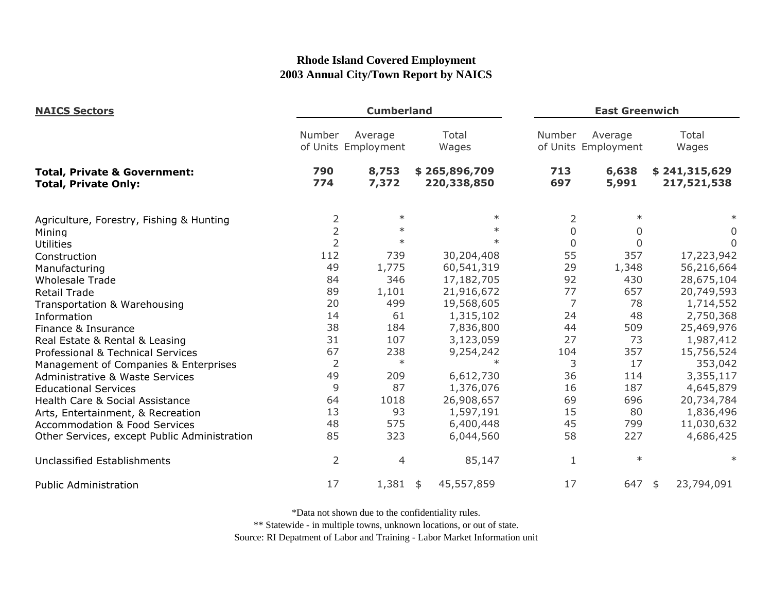| <b>NAICS Sectors</b><br><b>Total, Private &amp; Government:</b><br><b>Total, Private Only:</b> |                | <b>Cumberland</b>              |                              |                | <b>East Greenwich</b>          |                              |  |
|------------------------------------------------------------------------------------------------|----------------|--------------------------------|------------------------------|----------------|--------------------------------|------------------------------|--|
|                                                                                                | Number         | Average<br>of Units Employment | Total<br>Wages               | Number         | Average<br>of Units Employment | Total<br>Wages               |  |
|                                                                                                | 790<br>774     | 8,753<br>7,372                 | \$265,896,709<br>220,338,850 | 713<br>697     | 6,638<br>5,991                 | \$241,315,629<br>217,521,538 |  |
| Agriculture, Forestry, Fishing & Hunting                                                       | $\overline{2}$ | $\ast$                         | $\ast$                       | 2              | $\ast$                         | $\ast$                       |  |
| Mining                                                                                         | $\overline{2}$ | $\ast$                         | $\ast$                       | $\overline{0}$ | 0                              | 0                            |  |
| <b>Utilities</b>                                                                               | $\overline{2}$ | $\ast$                         | $\ast$                       | $\mathbf 0$    | $\mathbf 0$                    | $\Omega$                     |  |
| Construction                                                                                   | 112            | 739                            | 30,204,408                   | 55             | 357                            | 17,223,942                   |  |
| Manufacturing                                                                                  | 49             | 1,775                          | 60,541,319                   | 29             | 1,348                          | 56,216,664                   |  |
| <b>Wholesale Trade</b>                                                                         | 84             | 346                            | 17,182,705                   | 92             | 430                            | 28,675,104                   |  |
| <b>Retail Trade</b>                                                                            | 89             | 1,101                          | 21,916,672                   | 77             | 657                            | 20,749,593                   |  |
| Transportation & Warehousing                                                                   | 20             | 499                            | 19,568,605                   | 7              | 78                             | 1,714,552                    |  |
| Information                                                                                    | 14             | 61                             | 1,315,102                    | 24             | 48                             | 2,750,368                    |  |
| Finance & Insurance                                                                            | 38             | 184                            | 7,836,800                    | 44             | 509                            | 25,469,976                   |  |
| Real Estate & Rental & Leasing                                                                 | 31             | 107                            | 3,123,059                    | 27             | 73                             | 1,987,412                    |  |
| Professional & Technical Services                                                              | 67             | 238                            | 9,254,242                    | 104            | 357                            | 15,756,524                   |  |
| Management of Companies & Enterprises                                                          | $\overline{2}$ | $\ast$                         | $\ast$                       | 3              | 17                             | 353,042                      |  |
| <b>Administrative &amp; Waste Services</b>                                                     | 49             | 209                            | 6,612,730                    | 36             | 114                            | 3,355,117                    |  |
| <b>Educational Services</b>                                                                    | 9              | 87                             | 1,376,076                    | 16             | 187                            | 4,645,879                    |  |
| Health Care & Social Assistance                                                                | 64             | 1018                           | 26,908,657                   | 69             | 696                            | 20,734,784                   |  |
| Arts, Entertainment, & Recreation                                                              | 13             | 93                             | 1,597,191                    | 15             | 80                             | 1,836,496                    |  |
| <b>Accommodation &amp; Food Services</b>                                                       | 48             | 575                            | 6,400,448                    | 45             | 799                            | 11,030,632                   |  |
| Other Services, except Public Administration                                                   | 85             | 323                            | 6,044,560                    | 58             | 227                            | 4,686,425                    |  |
| <b>Unclassified Establishments</b>                                                             | $\overline{2}$ | 4                              | 85,147                       | $\mathbf{1}$   | $\ast$                         | $^\ast$                      |  |
| <b>Public Administration</b>                                                                   | 17             | $1,381$ \$                     | 45,557,859                   | 17             | 647                            | 23,794,091<br>\$             |  |

\*Data not shown due to the confidentiality rules.

\*\* Statewide - in multiple towns, unknown locations, or out of state.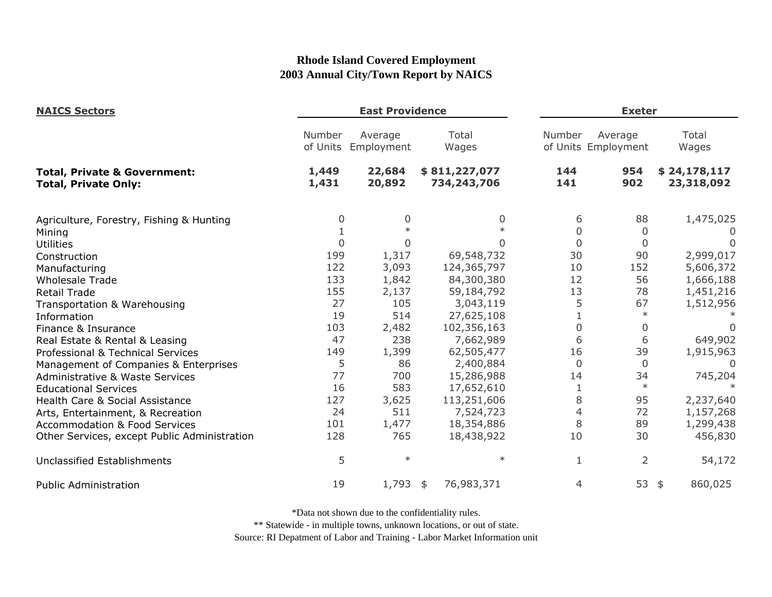| <b>NAICS Sectors</b>                                                   |                    | <b>East Providence</b> |                              |                | <b>Exeter</b>                  |                            |
|------------------------------------------------------------------------|--------------------|------------------------|------------------------------|----------------|--------------------------------|----------------------------|
|                                                                        | Number<br>of Units | Average<br>Employment  | Total<br>Wages               | Number         | Average<br>of Units Employment | Total<br>Wages             |
| <b>Total, Private &amp; Government:</b><br><b>Total, Private Only:</b> | 1,449<br>1,431     | 22,684<br>20,892       | \$811,227,077<br>734,243,706 | 144<br>141     | 954<br>902                     | \$24,178,117<br>23,318,092 |
| Agriculture, Forestry, Fishing & Hunting                               | 0                  | 0                      | 0                            | 6              | 88                             | 1,475,025                  |
| Mining                                                                 |                    |                        |                              | 0              | 0                              | $\left( \right)$           |
| <b>Utilities</b>                                                       | $\Omega$           | $\Omega$               | U                            | $\overline{0}$ | $\overline{0}$                 | $\Omega$                   |
| Construction                                                           | 199                | 1,317                  | 69,548,732                   | 30             | 90                             | 2,999,017                  |
| Manufacturing                                                          | 122                | 3,093                  | 124,365,797                  | 10             | 152                            | 5,606,372                  |
| <b>Wholesale Trade</b>                                                 | 133                | 1,842                  | 84,300,380                   | 12             | 56                             | 1,666,188                  |
| <b>Retail Trade</b>                                                    | 155                | 2,137                  | 59,184,792                   | 13             | 78                             | 1,451,216                  |
| Transportation & Warehousing                                           | 27                 | 105                    | 3,043,119                    | 5              | 67                             | 1,512,956                  |
| Information                                                            | 19                 | 514                    | 27,625,108                   |                |                                |                            |
| Finance & Insurance                                                    | 103                | 2,482                  | 102,356,163                  | $\Omega$       | $\Omega$                       |                            |
| Real Estate & Rental & Leasing                                         | 47                 | 238                    | 7,662,989                    | 6              | 6                              | 649,902                    |
| Professional & Technical Services                                      | 149                | 1,399                  | 62,505,477                   | 16             | 39                             | 1,915,963                  |
| Management of Companies & Enterprises                                  | 5                  | 86                     | 2,400,884                    | $\overline{0}$ | $\overline{0}$                 | $\overline{0}$             |
| <b>Administrative &amp; Waste Services</b>                             | 77                 | 700                    | 15,286,988                   | 14             | 34                             | 745,204                    |
| <b>Educational Services</b>                                            | 16                 | 583                    | 17,652,610                   | 1              | $\ast$                         |                            |
| Health Care & Social Assistance                                        | 127                | 3,625                  | 113,251,606                  | 8              | 95                             | 2,237,640                  |
| Arts, Entertainment, & Recreation                                      | 24                 | 511                    | 7,524,723                    | 4              | 72                             | 1,157,268                  |
| <b>Accommodation &amp; Food Services</b>                               | 101                | 1,477                  | 18,354,886                   | 8              | 89                             | 1,299,438                  |
| Other Services, except Public Administration                           | 128                | 765                    | 18,438,922                   | 10             | 30                             | 456,830                    |
| <b>Unclassified Establishments</b>                                     | 5                  | $\ast$                 | $\ast$                       | 1              | 2                              | 54,172                     |
| <b>Public Administration</b>                                           | 19                 | 1,793                  | 76,983,371<br>\$             | 4              | 53                             | 860,025<br>\$              |

\*Data not shown due to the confidentiality rules.

\*\* Statewide - in multiple towns, unknown locations, or out of state.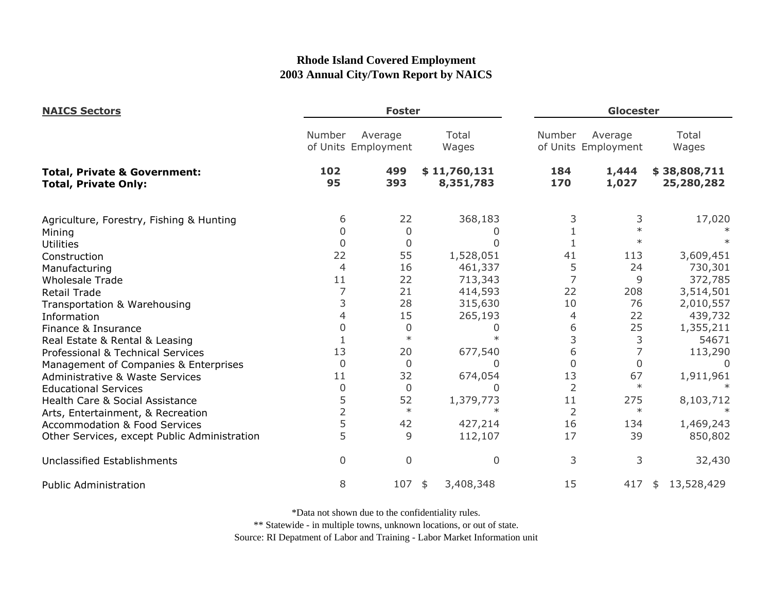| <b>NAICS Sectors</b>                                                   |                | <b>Foster</b>                  |                           |                | Glocester                      |                            |  |
|------------------------------------------------------------------------|----------------|--------------------------------|---------------------------|----------------|--------------------------------|----------------------------|--|
| <b>Total, Private &amp; Government:</b><br><b>Total, Private Only:</b> | Number         | Average<br>of Units Employment | Total<br>Wages            | Number         | Average<br>of Units Employment | Total<br>Wages             |  |
|                                                                        | 102<br>95      | 499<br>393                     | \$11,760,131<br>8,351,783 | 184<br>170     | 1,444<br>1,027                 | \$38,808,711<br>25,280,282 |  |
| Agriculture, Forestry, Fishing & Hunting                               | 6              | 22                             | 368,183                   | 3              | 3                              | 17,020                     |  |
| Mining                                                                 | 0              | $\overline{0}$                 |                           |                | $\ast$                         |                            |  |
| Utilities                                                              | $\overline{0}$ | 0                              |                           |                | $\ast$                         |                            |  |
| Construction                                                           | 22             | 55                             | 1,528,051                 | 41             | 113                            | 3,609,451                  |  |
| Manufacturing                                                          | 4              | 16                             | 461,337                   | 5              | 24                             | 730,301                    |  |
| <b>Wholesale Trade</b>                                                 | 11             | 22                             | 713,343                   | 7              | 9                              | 372,785                    |  |
| <b>Retail Trade</b>                                                    |                | 21                             | 414,593                   | 22             | 208                            | 3,514,501                  |  |
| Transportation & Warehousing                                           | 3              | 28                             | 315,630                   | 10             | 76                             | 2,010,557                  |  |
| Information                                                            | 4              | 15                             | 265,193                   | 4              | 22                             | 439,732                    |  |
| Finance & Insurance                                                    | 0              | 0                              | O                         | 6              | 25                             | 1,355,211                  |  |
| Real Estate & Rental & Leasing                                         |                | $\ast$                         |                           | 3              | 3                              | 54671                      |  |
| Professional & Technical Services                                      | 13             | 20                             | 677,540                   | 6              | 7                              | 113,290                    |  |
| Management of Companies & Enterprises                                  | $\overline{0}$ | $\overline{0}$                 | 0                         | $\Omega$       | 0                              |                            |  |
| <b>Administrative &amp; Waste Services</b>                             | 11             | 32                             | 674,054                   | 13             | 67                             | 1,911,961                  |  |
| <b>Educational Services</b>                                            | 0              | $\overline{0}$                 |                           | 2              | $\ast$                         |                            |  |
| Health Care & Social Assistance                                        | 5              | 52                             | 1,379,773                 | 11             | 275                            | 8,103,712                  |  |
| Arts, Entertainment, & Recreation                                      | $\overline{2}$ | $\ast$                         |                           | $\overline{2}$ | $\ast$                         |                            |  |
| <b>Accommodation &amp; Food Services</b>                               | 5              | 42                             | 427,214                   | 16             | 134                            | 1,469,243                  |  |
| Other Services, except Public Administration                           | 5              | 9                              | 112,107                   | 17             | 39                             | 850,802                    |  |
| Unclassified Establishments                                            | $\overline{0}$ | 0                              | 0                         | 3              | 3                              | 32,430                     |  |
| <b>Public Administration</b>                                           | 8              | 107                            | 3,408,348<br>\$           | 15             | 417                            | 13,528,429<br>\$           |  |

\*Data not shown due to the confidentiality rules.

\*\* Statewide - in multiple towns, unknown locations, or out of state.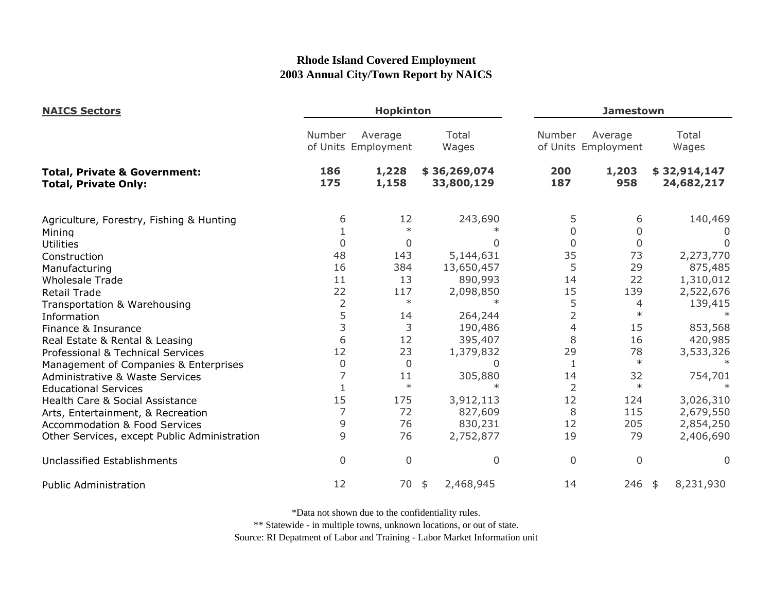| <b>NAICS Sectors</b>                                                   |                | <b>Hopkinton</b>               |                            |             | <b>Jamestown</b>               |                            |  |
|------------------------------------------------------------------------|----------------|--------------------------------|----------------------------|-------------|--------------------------------|----------------------------|--|
|                                                                        | Number         | Average<br>of Units Employment | Total<br>Wages             | Number      | Average<br>of Units Employment | Total<br>Wages             |  |
| <b>Total, Private &amp; Government:</b><br><b>Total, Private Only:</b> | 186<br>175     | 1,228<br>1,158                 | \$36,269,074<br>33,800,129 | 200<br>187  | 1,203<br>958                   | \$32,914,147<br>24,682,217 |  |
| Agriculture, Forestry, Fishing & Hunting                               | 6              | 12                             | 243,690                    | 5           | 6                              | 140,469                    |  |
| Mining                                                                 |                |                                |                            | 0           | 0                              |                            |  |
| <b>Utilities</b>                                                       | $\overline{0}$ | $\Omega$                       |                            | $\Omega$    | $\mathbf 0$                    |                            |  |
| Construction                                                           | 48             | 143                            | 5,144,631                  | 35          | 73                             | 2,273,770                  |  |
| Manufacturing                                                          | 16             | 384                            | 13,650,457                 | 5           | 29                             | 875,485                    |  |
| <b>Wholesale Trade</b>                                                 | 11             | 13                             | 890,993                    | 14          | 22                             | 1,310,012                  |  |
| <b>Retail Trade</b>                                                    | 22             | 117                            | 2,098,850                  | 15          | 139                            | 2,522,676                  |  |
| Transportation & Warehousing                                           | $\overline{2}$ | $\ast$                         | $\ast$                     | 5           | 4                              | 139,415                    |  |
| Information                                                            | 5              | 14                             | 264,244                    | 2           | $\ast$                         |                            |  |
| Finance & Insurance                                                    | 3              | 3                              | 190,486                    | 4           | 15                             | 853,568                    |  |
| Real Estate & Rental & Leasing                                         | 6              | 12                             | 395,407                    | 8           | 16                             | 420,985                    |  |
| Professional & Technical Services                                      | 12             | 23                             | 1,379,832                  | 29          | 78                             | 3,533,326                  |  |
| Management of Companies & Enterprises                                  | 0              | $\overline{0}$                 | 0                          |             | $\ast$                         |                            |  |
| <b>Administrative &amp; Waste Services</b>                             | 7              | 11                             | 305,880                    | 14          | 32                             | 754,701                    |  |
| <b>Educational Services</b>                                            |                | $\ast$                         | $\star$                    | 2           | $\ast$                         |                            |  |
| Health Care & Social Assistance                                        | 15             | 175                            | 3,912,113                  | 12          | 124                            | 3,026,310                  |  |
| Arts, Entertainment, & Recreation                                      | 7              | 72                             | 827,609                    | 8           | 115                            | 2,679,550                  |  |
| <b>Accommodation &amp; Food Services</b>                               | 9              | 76                             | 830,231                    | 12          | 205                            | 2,854,250                  |  |
| Other Services, except Public Administration                           | 9              | 76                             | 2,752,877                  | 19          | 79                             | 2,406,690                  |  |
| <b>Unclassified Establishments</b>                                     | $\overline{0}$ | $\Omega$                       | 0                          | $\mathbf 0$ | $\mathbf 0$                    | 0                          |  |
| <b>Public Administration</b>                                           | 12             | 70                             | 2,468,945<br>\$            | 14          | $246$ \$                       | 8,231,930                  |  |

\*Data not shown due to the confidentiality rules.

\*\* Statewide - in multiple towns, unknown locations, or out of state.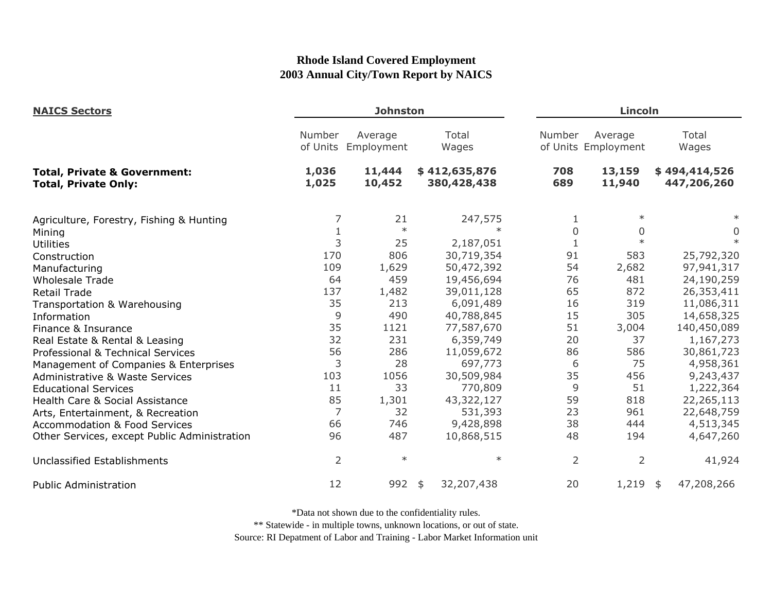| <b>NAICS Sectors</b>                                                   |                    | <b>Johnston</b>       |                              |            | Lincoln                        |                              |  |  |
|------------------------------------------------------------------------|--------------------|-----------------------|------------------------------|------------|--------------------------------|------------------------------|--|--|
|                                                                        | Number<br>of Units | Average<br>Employment | Total<br>Wages               | Number     | Average<br>of Units Employment | Total<br>Wages               |  |  |
| <b>Total, Private &amp; Government:</b><br><b>Total, Private Only:</b> | 1,036<br>1,025     | 11,444<br>10,452      | \$412,635,876<br>380,428,438 | 708<br>689 | 13,159<br>11,940               | \$494,414,526<br>447,206,260 |  |  |
| Agriculture, Forestry, Fishing & Hunting                               | 7                  | 21                    | 247,575                      |            | $\ast$                         |                              |  |  |
| Mining                                                                 | $\mathbf{1}$       | $\ast$                | $\ast$                       | 0          | 0                              | $\overline{0}$               |  |  |
| <b>Utilities</b>                                                       | 3                  | 25                    | 2,187,051                    |            | $\ast$                         | $\ast$                       |  |  |
| Construction                                                           | 170                | 806                   | 30,719,354                   | 91         | 583                            | 25,792,320                   |  |  |
| Manufacturing                                                          | 109                | 1,629                 | 50,472,392                   | 54         | 2,682                          | 97,941,317                   |  |  |
| <b>Wholesale Trade</b>                                                 | 64                 | 459                   | 19,456,694                   | 76         | 481                            | 24,190,259                   |  |  |
| <b>Retail Trade</b>                                                    | 137                | 1,482                 | 39,011,128                   | 65         | 872                            | 26,353,411                   |  |  |
| Transportation & Warehousing                                           | 35                 | 213                   | 6,091,489                    | 16         | 319                            | 11,086,311                   |  |  |
| Information                                                            | 9                  | 490                   | 40,788,845                   | 15         | 305                            | 14,658,325                   |  |  |
| Finance & Insurance                                                    | 35                 | 1121                  | 77,587,670                   | 51         | 3,004                          | 140,450,089                  |  |  |
| Real Estate & Rental & Leasing                                         | 32                 | 231                   | 6,359,749                    | 20         | 37                             | 1,167,273                    |  |  |
| Professional & Technical Services                                      | 56                 | 286                   | 11,059,672                   | 86         | 586                            | 30,861,723                   |  |  |
| Management of Companies & Enterprises                                  | 3                  | 28                    | 697,773                      | 6          | 75                             | 4,958,361                    |  |  |
| Administrative & Waste Services                                        | 103                | 1056                  | 30,509,984                   | 35         | 456                            | 9,243,437                    |  |  |
| <b>Educational Services</b>                                            | 11                 | 33                    | 770,809                      | 9          | 51                             | 1,222,364                    |  |  |
| Health Care & Social Assistance                                        | 85                 | 1,301                 | 43,322,127                   | 59         | 818                            | 22,265,113                   |  |  |
| Arts, Entertainment, & Recreation                                      | $\overline{7}$     | 32                    | 531,393                      | 23         | 961                            | 22,648,759                   |  |  |
| <b>Accommodation &amp; Food Services</b>                               | 66                 | 746                   | 9,428,898                    | 38         | 444                            | 4,513,345                    |  |  |
| Other Services, except Public Administration                           | 96                 | 487                   | 10,868,515                   | 48         | 194                            | 4,647,260                    |  |  |
| <b>Unclassified Establishments</b>                                     | $\overline{2}$     | $\ast$                | $\ast$                       | 2          | $\overline{2}$                 | 41,924                       |  |  |
| <b>Public Administration</b>                                           | 12                 | 992                   | 32,207,438<br>\$             | 20         | $1,219$ \$                     | 47,208,266                   |  |  |

\*Data not shown due to the confidentiality rules.

\*\* Statewide - in multiple towns, unknown locations, or out of state.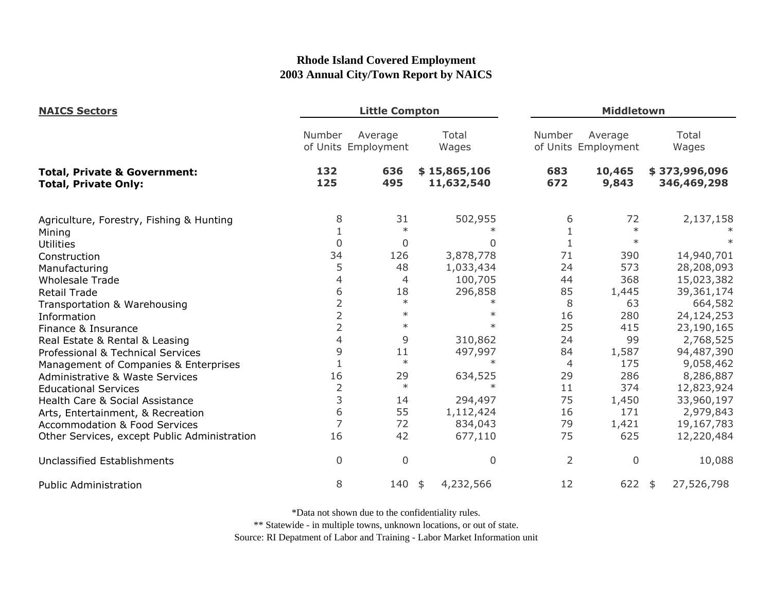| <b>NAICS Sectors</b><br><b>Total, Private &amp; Government:</b><br><b>Total, Private Only:</b> |                | <b>Little Compton</b>          |                            | Middletown     |                                |  |                              |
|------------------------------------------------------------------------------------------------|----------------|--------------------------------|----------------------------|----------------|--------------------------------|--|------------------------------|
|                                                                                                | Number         | Average<br>of Units Employment | Total<br>Wages             | Number         | Average<br>of Units Employment |  | Total<br>Wages               |
|                                                                                                | 132<br>125     | 636<br>495                     | \$15,865,106<br>11,632,540 | 683<br>672     | 10,465<br>9,843                |  | \$373,996,096<br>346,469,298 |
| Agriculture, Forestry, Fishing & Hunting                                                       | 8              | 31                             | 502,955                    | 6              | 72                             |  | 2,137,158                    |
| Mining                                                                                         |                | $\ast$                         |                            |                | $\ast$                         |  |                              |
| <b>Utilities</b>                                                                               | $\mathbf 0$    | $\overline{0}$                 | <sup>0</sup>               | 1              | $\ast$                         |  |                              |
| Construction                                                                                   | 34             | 126                            | 3,878,778                  | 71             | 390                            |  | 14,940,701                   |
| Manufacturing                                                                                  | 5              | 48                             | 1,033,434                  | 24             | 573                            |  | 28,208,093                   |
| <b>Wholesale Trade</b>                                                                         | 4              | 4                              | 100,705                    | 44             | 368                            |  | 15,023,382                   |
| <b>Retail Trade</b>                                                                            | 6              | 18                             | 296,858                    | 85             | 1,445                          |  | 39,361,174                   |
| Transportation & Warehousing                                                                   | 2              | $\ast$                         | $\ast$                     | 8              | 63                             |  | 664,582                      |
| Information                                                                                    | $\overline{2}$ | $\ast$                         |                            | 16             | 280                            |  | 24,124,253                   |
| Finance & Insurance                                                                            | $\overline{2}$ | $\ast$                         |                            | 25             | 415                            |  | 23,190,165                   |
| Real Estate & Rental & Leasing                                                                 | 4              | 9                              | 310,862                    | 24             | 99                             |  | 2,768,525                    |
| Professional & Technical Services                                                              | 9              | 11                             | 497,997                    | 84             | 1,587                          |  | 94,487,390                   |
| Management of Companies & Enterprises                                                          | 1              | $\ast$                         | $\ast$                     | 4              | 175                            |  | 9,058,462                    |
| <b>Administrative &amp; Waste Services</b>                                                     | 16             | 29                             | 634,525                    | 29             | 286                            |  | 8,286,887                    |
| <b>Educational Services</b>                                                                    | $\overline{2}$ | $\ast$                         | $\ast$                     | 11             | 374                            |  | 12,823,924                   |
| Health Care & Social Assistance                                                                | 3              | 14                             | 294,497                    | 75             | 1,450                          |  | 33,960,197                   |
| Arts, Entertainment, & Recreation                                                              | 6              | 55                             | 1,112,424                  | 16             | 171                            |  | 2,979,843                    |
| <b>Accommodation &amp; Food Services</b>                                                       | $\overline{7}$ | 72                             | 834,043                    | 79             | 1,421                          |  | 19,167,783                   |
| Other Services, except Public Administration                                                   | 16             | 42                             | 677,110                    | 75             | 625                            |  | 12,220,484                   |
| <b>Unclassified Establishments</b>                                                             | $\overline{0}$ | $\overline{0}$                 | $\mathbf 0$                | $\overline{2}$ | 0                              |  | 10,088                       |
| <b>Public Administration</b>                                                                   | 8              | 140                            | 4,232,566<br>\$            | 12             | $622$ \$                       |  | 27,526,798                   |

\*Data not shown due to the confidentiality rules.

\*\* Statewide - in multiple towns, unknown locations, or out of state.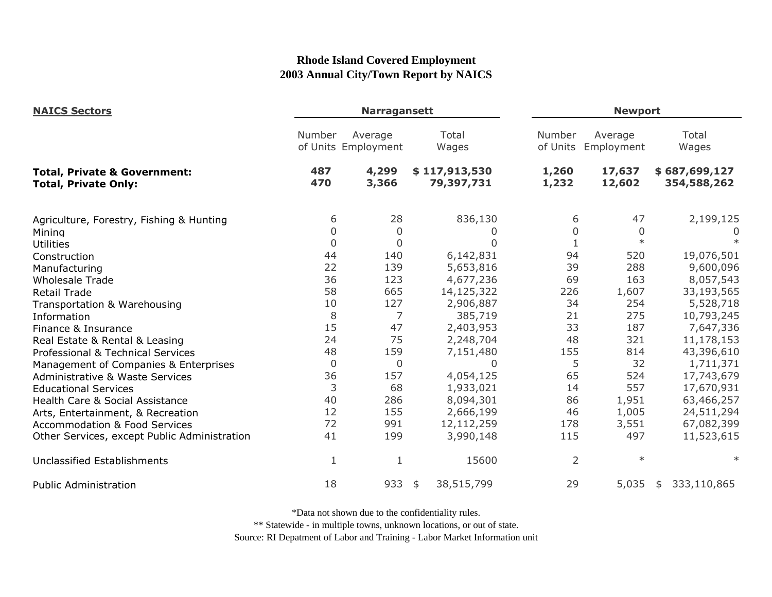| <b>NAICS Sectors</b>                                                   |                | <b>Narragansett</b>            |                             |                | <b>Newport</b>                 |                              |  |  |
|------------------------------------------------------------------------|----------------|--------------------------------|-----------------------------|----------------|--------------------------------|------------------------------|--|--|
|                                                                        | Number         | Average<br>of Units Employment | Total<br>Wages              | Number         | Average<br>of Units Employment | Total<br>Wages               |  |  |
| <b>Total, Private &amp; Government:</b><br><b>Total, Private Only:</b> | 487<br>470     | 4,299<br>3,366                 | \$117,913,530<br>79,397,731 | 1,260<br>1,232 | 17,637<br>12,602               | \$687,699,127<br>354,588,262 |  |  |
| Agriculture, Forestry, Fishing & Hunting                               | 6              | 28                             | 836,130                     | 6              | 47                             | 2,199,125                    |  |  |
| Mining                                                                 | 0              | $\overline{0}$                 | O                           | 0              | $\mathbf 0$                    | $\cup$                       |  |  |
| <b>Utilities</b>                                                       | $\overline{0}$ | $\mathbf 0$                    | $\Omega$                    | 1              | $\ast$                         |                              |  |  |
| Construction                                                           | 44             | 140                            | 6,142,831                   | 94             | 520                            | 19,076,501                   |  |  |
| Manufacturing                                                          | 22             | 139                            | 5,653,816                   | 39             | 288                            | 9,600,096                    |  |  |
| <b>Wholesale Trade</b>                                                 | 36             | 123                            | 4,677,236                   | 69             | 163                            | 8,057,543                    |  |  |
| <b>Retail Trade</b>                                                    | 58             | 665                            | 14,125,322                  | 226            | 1,607                          | 33,193,565                   |  |  |
| Transportation & Warehousing                                           | 10             | 127                            | 2,906,887                   | 34             | 254                            | 5,528,718                    |  |  |
| Information                                                            | 8              | 7                              | 385,719                     | 21             | 275                            | 10,793,245                   |  |  |
| Finance & Insurance                                                    | 15             | 47                             | 2,403,953                   | 33             | 187                            | 7,647,336                    |  |  |
| Real Estate & Rental & Leasing                                         | 24             | 75                             | 2,248,704                   | 48             | 321                            | 11,178,153                   |  |  |
| Professional & Technical Services                                      | 48             | 159                            | 7,151,480                   | 155            | 814                            | 43,396,610                   |  |  |
| Management of Companies & Enterprises                                  | $\mathbf 0$    | 0                              | $\Omega$                    | 5              | 32                             | 1,711,371                    |  |  |
| <b>Administrative &amp; Waste Services</b>                             | 36             | 157                            | 4,054,125                   | 65             | 524                            | 17,743,679                   |  |  |
| <b>Educational Services</b>                                            | 3              | 68                             | 1,933,021                   | 14             | 557                            | 17,670,931                   |  |  |
| Health Care & Social Assistance                                        | 40             | 286                            | 8,094,301                   | 86             | 1,951                          | 63,466,257                   |  |  |
| Arts, Entertainment, & Recreation                                      | 12             | 155                            | 2,666,199                   | 46             | 1,005                          | 24,511,294                   |  |  |
| <b>Accommodation &amp; Food Services</b>                               | 72             | 991                            | 12,112,259                  | 178            | 3,551                          | 67,082,399                   |  |  |
| Other Services, except Public Administration                           | 41             | 199                            | 3,990,148                   | 115            | 497                            | 11,523,615                   |  |  |
| Unclassified Establishments                                            | 1              | 1                              | 15600                       | $\overline{2}$ | $\ast$                         | $\ast$                       |  |  |
| <b>Public Administration</b>                                           | 18             | 933                            | 38,515,799<br>\$            | 29             | 5,035                          | 333,110,865<br>\$            |  |  |

\*Data not shown due to the confidentiality rules.

\*\* Statewide - in multiple towns, unknown locations, or out of state.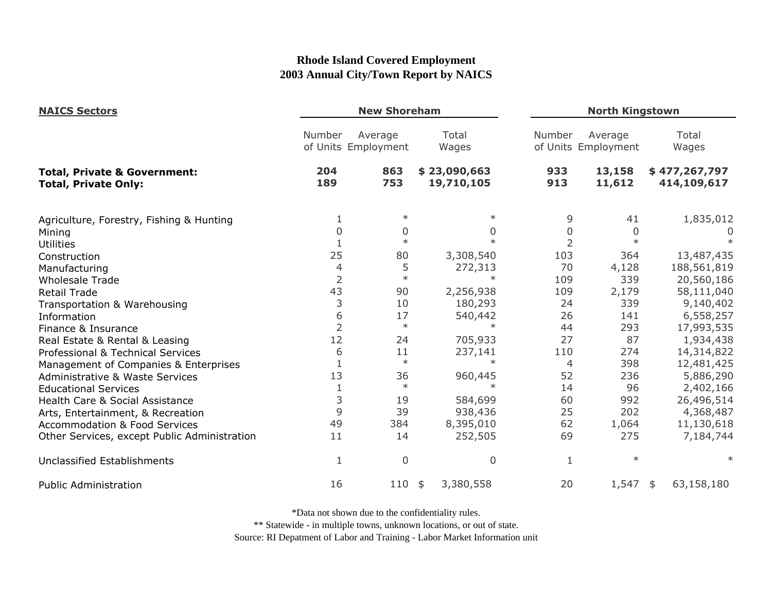| <b>NAICS Sectors</b><br><b>Total, Private &amp; Government:</b><br><b>Total, Private Only:</b> |                | <b>New Shoreham</b>            |                            |                | <b>North Kingstown</b>         |                              |  |  |
|------------------------------------------------------------------------------------------------|----------------|--------------------------------|----------------------------|----------------|--------------------------------|------------------------------|--|--|
|                                                                                                | Number         | Average<br>of Units Employment | Total<br>Wages             | Number         | Average<br>of Units Employment | Total<br>Wages               |  |  |
|                                                                                                | 204<br>189     | 863<br>753                     | \$23,090,663<br>19,710,105 | 933<br>913     | 13,158<br>11,612               | \$477,267,797<br>414,109,617 |  |  |
| Agriculture, Forestry, Fishing & Hunting                                                       | 1              | $\ast$                         | $\ast$                     | 9              | 41                             | 1,835,012                    |  |  |
| Mining                                                                                         | 0              | 0                              | $\Omega$                   | 0              | 0                              | O                            |  |  |
| Utilities                                                                                      |                | $\ast$                         | $\ast$                     | 2              | $\ast$                         |                              |  |  |
| Construction                                                                                   | 25             | 80                             | 3,308,540                  | 103            | 364                            | 13,487,435                   |  |  |
| Manufacturing                                                                                  | 4              | 5                              | 272,313                    | 70             | 4,128                          | 188,561,819                  |  |  |
| <b>Wholesale Trade</b>                                                                         | $\overline{2}$ | $\ast$                         |                            | 109            | 339                            | 20,560,186                   |  |  |
| <b>Retail Trade</b>                                                                            | 43             | 90                             | 2,256,938                  | 109            | 2,179                          | 58,111,040                   |  |  |
| Transportation & Warehousing                                                                   | 3              | 10                             | 180,293                    | 24             | 339                            | 9,140,402                    |  |  |
| Information                                                                                    | 6              | 17                             | 540,442                    | 26             | 141                            | 6,558,257                    |  |  |
| Finance & Insurance                                                                            | $\overline{2}$ | $\ast$                         | $\ast$                     | 44             | 293                            | 17,993,535                   |  |  |
| Real Estate & Rental & Leasing                                                                 | 12             | 24                             | 705,933                    | 27             | 87                             | 1,934,438                    |  |  |
| Professional & Technical Services                                                              | 6              | 11                             | 237,141                    | 110            | 274                            | 14,314,822                   |  |  |
| Management of Companies & Enterprises                                                          | 1              | $\ast$                         | $\ast$                     | $\overline{4}$ | 398                            | 12,481,425                   |  |  |
| Administrative & Waste Services                                                                | 13             | 36                             | 960,445                    | 52             | 236                            | 5,886,290                    |  |  |
| <b>Educational Services</b>                                                                    | $1\,$          | $\ast$                         | $\ast$                     | 14             | 96                             | 2,402,166                    |  |  |
| Health Care & Social Assistance                                                                | 3              | 19                             | 584,699                    | 60             | 992                            | 26,496,514                   |  |  |
| Arts, Entertainment, & Recreation                                                              | 9              | 39                             | 938,436                    | 25             | 202                            | 4,368,487                    |  |  |
| <b>Accommodation &amp; Food Services</b>                                                       | 49             | 384                            | 8,395,010                  | 62             | 1,064                          | 11,130,618                   |  |  |
| Other Services, except Public Administration                                                   | 11             | 14                             | 252,505                    | 69             | 275                            | 7,184,744                    |  |  |
| <b>Unclassified Establishments</b>                                                             | $\mathbf{1}$   | $\overline{0}$                 | $\overline{0}$             | 1              | $\ast$                         | $\ast$                       |  |  |
| <b>Public Administration</b>                                                                   | 16             | 110                            | 3,380,558<br>\$            | 20             | 1,547                          | 63,158,180<br>\$             |  |  |

\*Data not shown due to the confidentiality rules.

\*\* Statewide - in multiple towns, unknown locations, or out of state.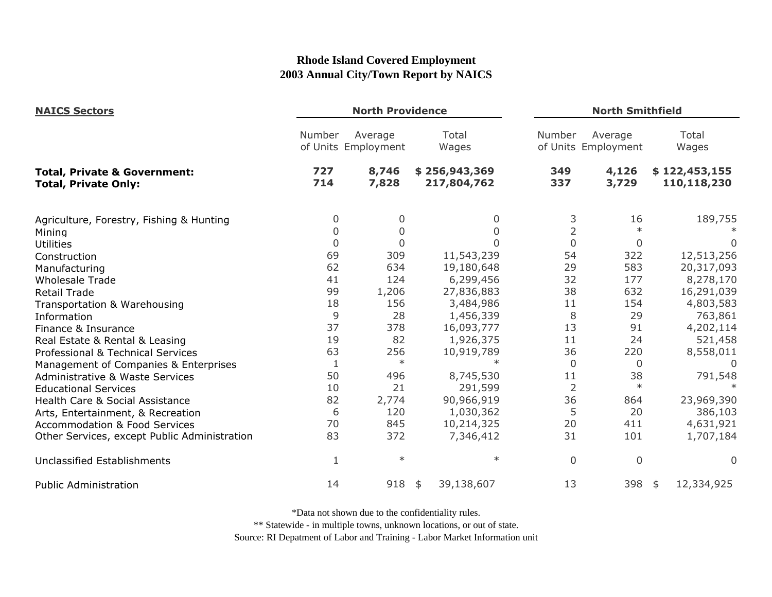| <b>NAICS Sectors</b><br><b>Total, Private &amp; Government:</b><br><b>Total, Private Only:</b> | <b>North Providence</b> |                                |                              |                | <b>North Smithfield</b>        |                              |  |
|------------------------------------------------------------------------------------------------|-------------------------|--------------------------------|------------------------------|----------------|--------------------------------|------------------------------|--|
|                                                                                                | Number                  | Average<br>of Units Employment | Total<br>Wages               | Number         | Average<br>of Units Employment | Total<br>Wages               |  |
|                                                                                                | 727<br>714              | 8,746<br>7,828                 | \$256,943,369<br>217,804,762 | 349<br>337     | 4,126<br>3,729                 | \$122,453,155<br>110,118,230 |  |
| Agriculture, Forestry, Fishing & Hunting                                                       | 0                       | 0                              | 0                            | 3              | 16                             | 189,755                      |  |
| Mining                                                                                         | 0                       | 0                              |                              | $\overline{2}$ | $\ast$                         |                              |  |
| Utilities                                                                                      | $\overline{0}$          | $\Omega$                       | ი                            | $\overline{0}$ | $\overline{0}$                 | 0                            |  |
| Construction                                                                                   | 69                      | 309                            | 11,543,239                   | 54             | 322                            | 12,513,256                   |  |
| Manufacturing                                                                                  | 62                      | 634                            | 19,180,648                   | 29             | 583                            | 20,317,093                   |  |
| <b>Wholesale Trade</b>                                                                         | 41                      | 124                            | 6,299,456                    | 32             | 177                            | 8,278,170                    |  |
| <b>Retail Trade</b>                                                                            | 99                      | 1,206                          | 27,836,883                   | 38             | 632                            | 16,291,039                   |  |
| Transportation & Warehousing                                                                   | 18                      | 156                            | 3,484,986                    | 11             | 154                            | 4,803,583                    |  |
| Information                                                                                    | 9                       | 28                             | 1,456,339                    | 8              | 29                             | 763,861                      |  |
| Finance & Insurance                                                                            | 37                      | 378                            | 16,093,777                   | 13             | 91                             | 4,202,114                    |  |
| Real Estate & Rental & Leasing                                                                 | 19                      | 82                             | 1,926,375                    | 11             | 24                             | 521,458                      |  |
| Professional & Technical Services                                                              | 63                      | 256                            | 10,919,789                   | 36             | 220                            | 8,558,011                    |  |
| Management of Companies & Enterprises                                                          | 1                       | $\ast$                         | $\ast$                       | $\Omega$       | 0                              | $\Omega$                     |  |
| <b>Administrative &amp; Waste Services</b>                                                     | 50                      | 496                            | 8,745,530                    | 11             | 38                             | 791,548                      |  |
| <b>Educational Services</b>                                                                    | 10                      | 21                             | 291,599                      | $\overline{2}$ | $\ast$                         |                              |  |
| Health Care & Social Assistance                                                                | 82                      | 2,774                          | 90,966,919                   | 36             | 864                            | 23,969,390                   |  |
| Arts, Entertainment, & Recreation                                                              | 6                       | 120                            | 1,030,362                    | 5              | 20                             | 386,103                      |  |
| <b>Accommodation &amp; Food Services</b>                                                       | 70                      | 845                            | 10,214,325                   | 20             | 411                            | 4,631,921                    |  |
| Other Services, except Public Administration                                                   | 83                      | 372                            | 7,346,412                    | 31             | 101                            | 1,707,184                    |  |
| Unclassified Establishments                                                                    | 1                       | $\ast$                         | $\ast$                       | $\overline{0}$ | $\overline{0}$                 | 0                            |  |
| <b>Public Administration</b>                                                                   | 14                      | 918                            | 39,138,607<br>\$             | 13             | 398                            | 12,334,925<br>\$             |  |

\*Data not shown due to the confidentiality rules.

\*\* Statewide - in multiple towns, unknown locations, or out of state.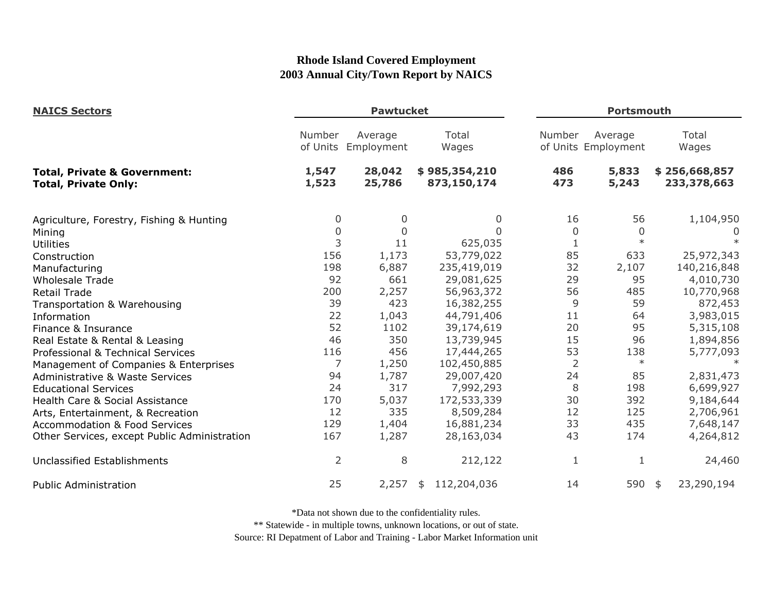| <b>NAICS Sectors</b>                                                   | <b>Pawtucket</b>   |                       |                              |                | <b>Portsmouth</b>              |                              |  |
|------------------------------------------------------------------------|--------------------|-----------------------|------------------------------|----------------|--------------------------------|------------------------------|--|
|                                                                        | Number<br>of Units | Average<br>Employment | Total<br>Wages               | Number         | Average<br>of Units Employment | Total<br>Wages               |  |
| <b>Total, Private &amp; Government:</b><br><b>Total, Private Only:</b> | 1,547<br>1,523     | 28,042<br>25,786      | \$985,354,210<br>873,150,174 | 486<br>473     | 5,833<br>5,243                 | \$256,668,857<br>233,378,663 |  |
| Agriculture, Forestry, Fishing & Hunting                               | 0                  | 0                     | 0                            | 16             | 56                             | 1,104,950                    |  |
| Mining                                                                 | $\mathbf 0$        | 0                     | $\Omega$                     | 0              | 0                              | 0                            |  |
| <b>Utilities</b>                                                       | 3                  | 11                    | 625,035                      | 1              | $\ast$                         |                              |  |
| Construction                                                           | 156                | 1,173                 | 53,779,022                   | 85             | 633                            | 25,972,343                   |  |
| Manufacturing                                                          | 198                | 6,887                 | 235,419,019                  | 32             | 2,107                          | 140,216,848                  |  |
| <b>Wholesale Trade</b>                                                 | 92                 | 661                   | 29,081,625                   | 29             | 95                             | 4,010,730                    |  |
| <b>Retail Trade</b>                                                    | 200                | 2,257                 | 56,963,372                   | 56             | 485                            | 10,770,968                   |  |
| Transportation & Warehousing                                           | 39                 | 423                   | 16,382,255                   | 9              | 59                             | 872,453                      |  |
| Information                                                            | 22                 | 1,043                 | 44,791,406                   | 11             | 64                             | 3,983,015                    |  |
| Finance & Insurance                                                    | 52                 | 1102                  | 39,174,619                   | 20             | 95                             | 5,315,108                    |  |
| Real Estate & Rental & Leasing                                         | 46                 | 350                   | 13,739,945                   | 15             | 96                             | 1,894,856                    |  |
| Professional & Technical Services                                      | 116                | 456                   | 17,444,265                   | 53             | 138                            | 5,777,093                    |  |
| Management of Companies & Enterprises                                  | 7                  | 1,250                 | 102,450,885                  | $\overline{2}$ | $\ast$                         | $\ast$                       |  |
| Administrative & Waste Services                                        | 94                 | 1,787                 | 29,007,420                   | 24             | 85                             | 2,831,473                    |  |
| <b>Educational Services</b>                                            | 24                 | 317                   | 7,992,293                    | 8              | 198                            | 6,699,927                    |  |
| Health Care & Social Assistance                                        | 170                | 5,037                 | 172,533,339                  | 30             | 392                            | 9,184,644                    |  |
| Arts, Entertainment, & Recreation                                      | 12                 | 335                   | 8,509,284                    | 12             | 125                            | 2,706,961                    |  |
| <b>Accommodation &amp; Food Services</b>                               | 129                | 1,404                 | 16,881,234                   | 33             | 435                            | 7,648,147                    |  |
| Other Services, except Public Administration                           | 167                | 1,287                 | 28,163,034                   | 43             | 174                            | 4,264,812                    |  |
| Unclassified Establishments                                            | $\overline{2}$     | 8                     | 212,122                      | $\mathbf{1}$   | 1                              | 24,460                       |  |
| <b>Public Administration</b>                                           | 25                 | 2,257                 | 112,204,036<br>\$            | 14             | 590 \$                         | 23,290,194                   |  |

\*Data not shown due to the confidentiality rules.

\*\* Statewide - in multiple towns, unknown locations, or out of state.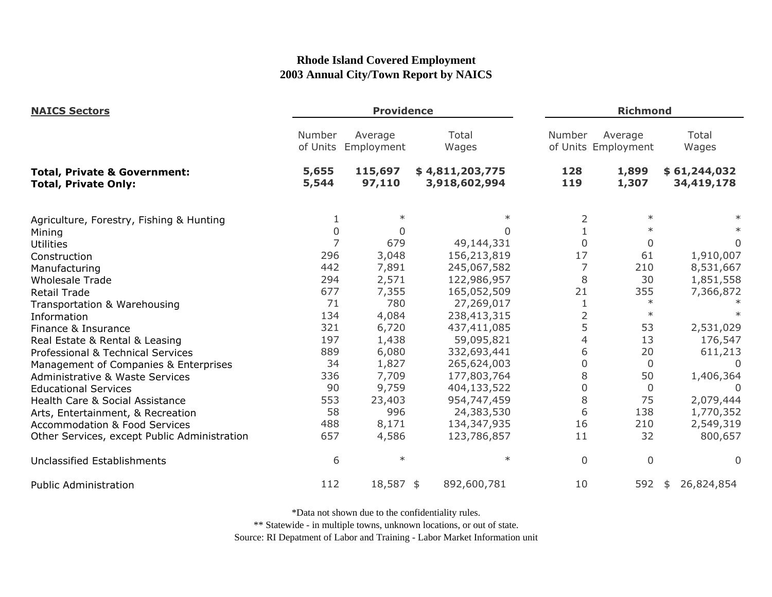| <b>NAICS Sectors</b>                                                   | <b>Providence</b>  |                       |                                  |                | <b>Richmond</b>                |                            |  |
|------------------------------------------------------------------------|--------------------|-----------------------|----------------------------------|----------------|--------------------------------|----------------------------|--|
|                                                                        | Number<br>of Units | Average<br>Employment | Total<br>Wages                   | Number         | Average<br>of Units Employment | Total<br>Wages             |  |
| <b>Total, Private &amp; Government:</b><br><b>Total, Private Only:</b> | 5,655<br>5,544     | 115,697<br>97,110     | \$4,811,203,775<br>3,918,602,994 | 128<br>119     | 1,899<br>1,307                 | \$61,244,032<br>34,419,178 |  |
| Agriculture, Forestry, Fishing & Hunting                               |                    | $\ast$                |                                  | 2              | $\ast$                         |                            |  |
| Mining                                                                 | $\overline{0}$     | 0                     | 0                                |                | $\ast$                         |                            |  |
| <b>Utilities</b>                                                       | $\overline{7}$     | 679                   | 49,144,331                       | $\mathbf 0$    | $\mathbf{0}$                   | $\Omega$                   |  |
| Construction                                                           | 296                | 3,048                 | 156,213,819                      | 17             | 61                             | 1,910,007                  |  |
| Manufacturing                                                          | 442                | 7,891                 | 245,067,582                      | 7              | 210                            | 8,531,667                  |  |
| <b>Wholesale Trade</b>                                                 | 294                | 2,571                 | 122,986,957                      | 8              | 30                             | 1,851,558                  |  |
| <b>Retail Trade</b>                                                    | 677                | 7,355                 | 165,052,509                      | 21             | 355                            | 7,366,872                  |  |
| Transportation & Warehousing                                           | 71                 | 780                   | 27,269,017                       | $\mathbf{1}$   | $\ast$                         |                            |  |
| Information                                                            | 134                | 4,084                 | 238,413,315                      | $\overline{2}$ | $\ast$                         |                            |  |
| Finance & Insurance                                                    | 321                | 6,720                 | 437,411,085                      | 5              | 53                             | 2,531,029                  |  |
| Real Estate & Rental & Leasing                                         | 197                | 1,438                 | 59,095,821                       | $\overline{4}$ | 13                             | 176,547                    |  |
| Professional & Technical Services                                      | 889                | 6,080                 | 332,693,441                      | 6              | 20                             | 611,213                    |  |
| Management of Companies & Enterprises                                  | 34                 | 1,827                 | 265,624,003                      | 0              | $\Omega$                       | $\Omega$                   |  |
| Administrative & Waste Services                                        | 336                | 7,709                 | 177,803,764                      | 8              | 50                             | 1,406,364                  |  |
| <b>Educational Services</b>                                            | 90                 | 9,759                 | 404,133,522                      | $\mathbf 0$    | $\mathbf{0}$                   |                            |  |
| Health Care & Social Assistance                                        | 553                | 23,403                | 954,747,459                      | 8              | 75                             | 2,079,444                  |  |
| Arts, Entertainment, & Recreation                                      | 58                 | 996                   | 24,383,530                       | 6              | 138                            | 1,770,352                  |  |
| <b>Accommodation &amp; Food Services</b>                               | 488                | 8,171                 | 134,347,935                      | 16             | 210                            | 2,549,319                  |  |
| Other Services, except Public Administration                           | 657                | 4,586                 | 123,786,857                      | 11             | 32                             | 800,657                    |  |
| <b>Unclassified Establishments</b>                                     | 6                  | $\ast$                | $\ast$                           | $\mathbf{0}$   | $\Omega$                       | $\Omega$                   |  |
| <b>Public Administration</b>                                           | 112                | 18,587 \$             | 892,600,781                      | 10             | 592                            | 26,824,854<br>\$           |  |

\*Data not shown due to the confidentiality rules.

\*\* Statewide - in multiple towns, unknown locations, or out of state.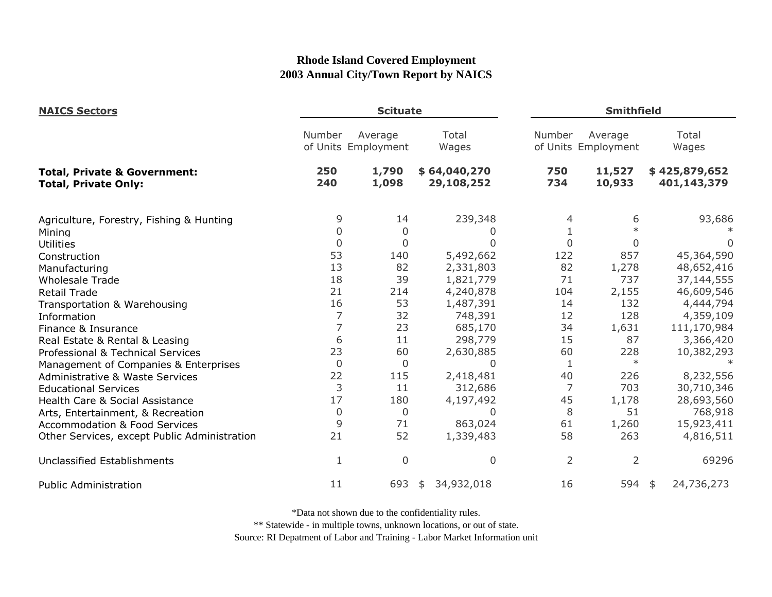| <b>NAICS Sectors</b>                                                   | <b>Scituate</b> |                                |                            |                | <b>Smithfield</b>              |  |                              |
|------------------------------------------------------------------------|-----------------|--------------------------------|----------------------------|----------------|--------------------------------|--|------------------------------|
|                                                                        | Number          | Average<br>of Units Employment | Total<br>Wages             | Number         | Average<br>of Units Employment |  | Total<br>Wages               |
| <b>Total, Private &amp; Government:</b><br><b>Total, Private Only:</b> | 250<br>240      | 1,790<br>1,098                 | \$64,040,270<br>29,108,252 | 750<br>734     | 11,527<br>10,933               |  | \$425,879,652<br>401,143,379 |
| Agriculture, Forestry, Fishing & Hunting                               | 9               | 14                             | 239,348                    |                | 6                              |  | 93,686                       |
| Mining                                                                 | 0               | $\Omega$                       |                            |                | $\ast$                         |  |                              |
| <b>Utilities</b>                                                       | $\overline{0}$  | $\mathbf 0$                    |                            | $\Omega$       | 0                              |  | $\Omega$                     |
| Construction                                                           | 53              | 140                            | 5,492,662                  | 122            | 857                            |  | 45,364,590                   |
| Manufacturing                                                          | 13              | 82                             | 2,331,803                  | 82             | 1,278                          |  | 48,652,416                   |
| <b>Wholesale Trade</b>                                                 | 18              | 39                             | 1,821,779                  | 71             | 737                            |  | 37,144,555                   |
| <b>Retail Trade</b>                                                    | 21              | 214                            | 4,240,878                  | 104            | 2,155                          |  | 46,609,546                   |
| Transportation & Warehousing                                           | 16              | 53                             | 1,487,391                  | 14             | 132                            |  | 4,444,794                    |
| Information                                                            | 7               | 32                             | 748,391                    | 12             | 128                            |  | 4,359,109                    |
| Finance & Insurance                                                    | 7               | 23                             | 685,170                    | 34             | 1,631                          |  | 111,170,984                  |
| Real Estate & Rental & Leasing                                         | 6               | 11                             | 298,779                    | 15             | 87                             |  | 3,366,420                    |
| Professional & Technical Services                                      | 23              | 60                             | 2,630,885                  | 60             | 228                            |  | 10,382,293                   |
| Management of Companies & Enterprises                                  | $\mathbf 0$     | $\mathbf{0}$                   | $\Omega$                   | 1              | $\ast$                         |  |                              |
| <b>Administrative &amp; Waste Services</b>                             | 22              | 115                            | 2,418,481                  | 40             | 226                            |  | 8,232,556                    |
| <b>Educational Services</b>                                            | 3               | 11                             | 312,686                    | 7              | 703                            |  | 30,710,346                   |
| Health Care & Social Assistance                                        | 17              | 180                            | 4,197,492                  | 45             | 1,178                          |  | 28,693,560                   |
| Arts, Entertainment, & Recreation                                      | $\mathbf 0$     | 0                              | 0                          | 8              | 51                             |  | 768,918                      |
| <b>Accommodation &amp; Food Services</b>                               | 9               | 71                             | 863,024                    | 61             | 1,260                          |  | 15,923,411                   |
| Other Services, except Public Administration                           | 21              | 52                             | 1,339,483                  | 58             | 263                            |  | 4,816,511                    |
| <b>Unclassified Establishments</b>                                     | 1               | 0                              | $\overline{0}$             | $\overline{2}$ | $\overline{2}$                 |  | 69296                        |
| <b>Public Administration</b>                                           | 11              | 693                            | 34,932,018<br>\$           | 16             | 594 \$                         |  | 24,736,273                   |

\*Data not shown due to the confidentiality rules.

\*\* Statewide - in multiple towns, unknown locations, or out of state.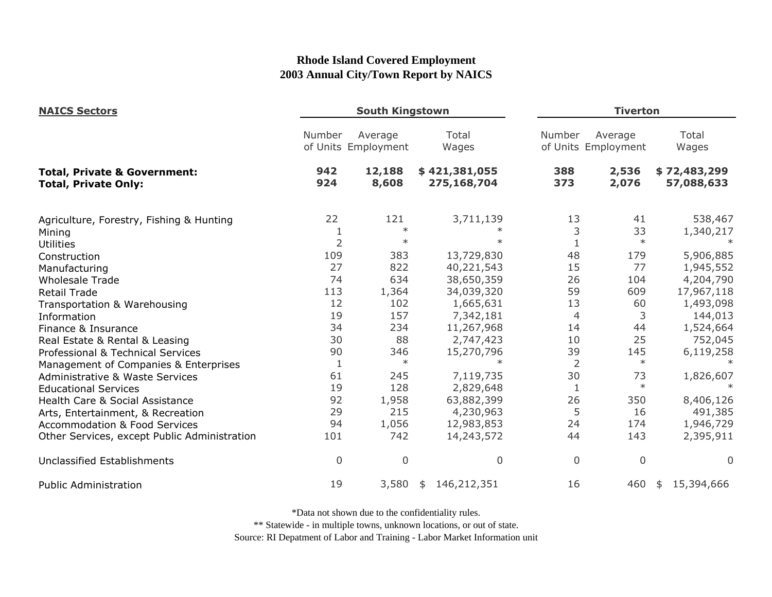| <b>NAICS Sectors</b>                                                   |                | <b>South Kingstown</b>         |                              |                | <b>Tiverton</b>                |                            |  |
|------------------------------------------------------------------------|----------------|--------------------------------|------------------------------|----------------|--------------------------------|----------------------------|--|
|                                                                        | Number         | Average<br>of Units Employment | Total<br>Wages               | Number         | Average<br>of Units Employment | Total<br>Wages             |  |
| <b>Total, Private &amp; Government:</b><br><b>Total, Private Only:</b> | 942<br>924     | 12,188<br>8,608                | \$421,381,055<br>275,168,704 | 388<br>373     | 2,536<br>2,076                 | \$72,483,299<br>57,088,633 |  |
| Agriculture, Forestry, Fishing & Hunting                               | 22             | 121<br>$\ast$                  | 3,711,139                    | 13             | 41                             | 538,467                    |  |
| Mining                                                                 | 1              | $\ast$                         |                              | 3              | 33<br>$\ast$                   | 1,340,217                  |  |
| <b>Utilities</b>                                                       | $\overline{2}$ |                                |                              |                |                                |                            |  |
| Construction                                                           | 109            | 383                            | 13,729,830                   | 48             | 179                            | 5,906,885                  |  |
| Manufacturing                                                          | 27             | 822                            | 40,221,543                   | 15             | 77                             | 1,945,552                  |  |
| <b>Wholesale Trade</b>                                                 | 74             | 634                            | 38,650,359                   | 26             | 104                            | 4,204,790                  |  |
| <b>Retail Trade</b>                                                    | 113            | 1,364                          | 34,039,320                   | 59             | 609                            | 17,967,118                 |  |
| Transportation & Warehousing                                           | 12             | 102                            | 1,665,631                    | 13             | 60                             | 1,493,098                  |  |
| Information                                                            | 19             | 157                            | 7,342,181                    | 4              | 3                              | 144,013                    |  |
| Finance & Insurance                                                    | 34             | 234                            | 11,267,968                   | 14             | 44                             | 1,524,664                  |  |
| Real Estate & Rental & Leasing                                         | 30             | 88                             | 2,747,423                    | 10             | 25                             | 752,045                    |  |
| Professional & Technical Services                                      | 90             | 346                            | 15,270,796                   | 39             | 145                            | 6,119,258                  |  |
| Management of Companies & Enterprises                                  | $\mathbf{1}$   | $\ast$                         | $\ast$                       | $\overline{2}$ | $\ast$                         | $\ast$                     |  |
| <b>Administrative &amp; Waste Services</b>                             | 61             | 245                            | 7,119,735                    | 30             | 73                             | 1,826,607                  |  |
| <b>Educational Services</b>                                            | 19             | 128                            | 2,829,648                    | 1              | $\ast$                         |                            |  |
| Health Care & Social Assistance                                        | 92             | 1,958                          | 63,882,399                   | 26             | 350                            | 8,406,126                  |  |
| Arts, Entertainment, & Recreation                                      | 29             | 215                            | 4,230,963                    | 5              | 16                             | 491,385                    |  |
| <b>Accommodation &amp; Food Services</b>                               | 94             | 1,056                          | 12,983,853                   | 24             | 174                            | 1,946,729                  |  |
| Other Services, except Public Administration                           | 101            | 742                            | 14,243,572                   | 44             | 143                            | 2,395,911                  |  |
| Unclassified Establishments                                            | 0              | $\mathbf 0$                    | $\Omega$                     | $\overline{0}$ | 0                              | $\Omega$                   |  |
| <b>Public Administration</b>                                           | 19             | 3,580                          | 146,212,351<br>\$            | 16             | 460                            | 15,394,666<br>\$           |  |

\*Data not shown due to the confidentiality rules.

\*\* Statewide - in multiple towns, unknown locations, or out of state.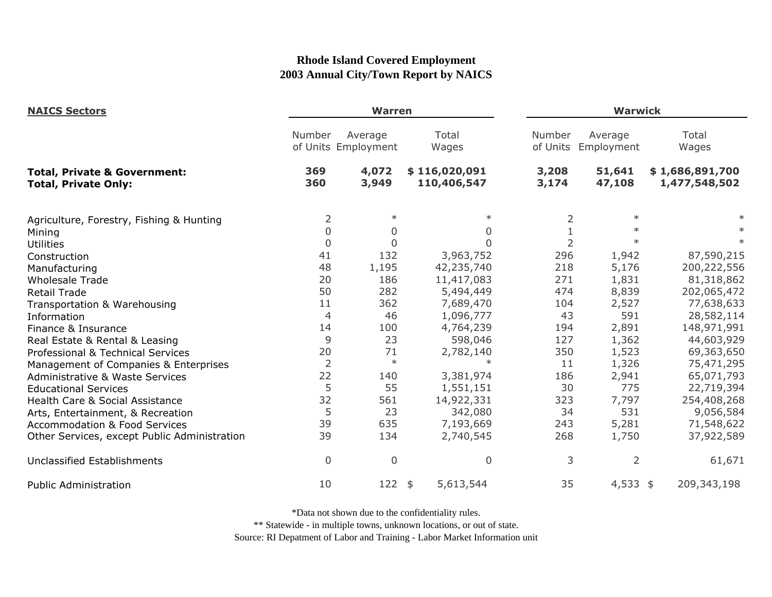| <b>NAICS Sectors</b>                                                   |                | <b>Warren</b>                  |                              |                | <b>Warwick</b>                 |                                  |  |  |
|------------------------------------------------------------------------|----------------|--------------------------------|------------------------------|----------------|--------------------------------|----------------------------------|--|--|
|                                                                        | Number         | Average<br>of Units Employment | Total<br>Wages               | Number         | Average<br>of Units Employment | Total<br>Wages                   |  |  |
| <b>Total, Private &amp; Government:</b><br><b>Total, Private Only:</b> | 369<br>360     | 4,072<br>3,949                 | \$116,020,091<br>110,406,547 | 3,208<br>3,174 | 51,641<br>47,108               | \$1,686,891,700<br>1,477,548,502 |  |  |
| Agriculture, Forestry, Fishing & Hunting                               | 2              | $\ast$                         |                              | 2              | $\ast$                         |                                  |  |  |
| Mining                                                                 | $\Omega$       | $\Omega$                       | 0                            | $\mathbf{1}$   | $\ast$                         |                                  |  |  |
| <b>Utilities</b>                                                       | $\mathbf 0$    | $\Omega$                       | $\Omega$                     | $\overline{2}$ | $\ast$                         |                                  |  |  |
| Construction                                                           | 41             | 132                            | 3,963,752                    | 296            | 1,942                          | 87,590,215                       |  |  |
| Manufacturing                                                          | 48             | 1,195                          | 42,235,740                   | 218            | 5,176                          | 200,222,556                      |  |  |
| <b>Wholesale Trade</b>                                                 | 20             | 186                            | 11,417,083                   | 271            | 1,831                          | 81,318,862                       |  |  |
| <b>Retail Trade</b>                                                    | 50             | 282                            | 5,494,449                    | 474            | 8,839                          | 202,065,472                      |  |  |
| Transportation & Warehousing                                           | 11             | 362                            | 7,689,470                    | 104            | 2,527                          | 77,638,633                       |  |  |
| Information                                                            | 4              | 46                             | 1,096,777                    | 43             | 591                            | 28,582,114                       |  |  |
| Finance & Insurance                                                    | 14             | 100                            | 4,764,239                    | 194            | 2,891                          | 148,971,991                      |  |  |
| Real Estate & Rental & Leasing                                         | 9              | 23                             | 598,046                      | 127            | 1,362                          | 44,603,929                       |  |  |
| Professional & Technical Services                                      | 20             | 71                             | 2,782,140                    | 350            | 1,523                          | 69,363,650                       |  |  |
| Management of Companies & Enterprises                                  | $\overline{2}$ | $\ast$                         | $\ast$                       | 11             | 1,326                          | 75,471,295                       |  |  |
| <b>Administrative &amp; Waste Services</b>                             | 22             | 140                            | 3,381,974                    | 186            | 2,941                          | 65,071,793                       |  |  |
| <b>Educational Services</b>                                            | 5              | 55                             | 1,551,151                    | 30             | 775                            | 22,719,394                       |  |  |
| Health Care & Social Assistance                                        | 32             | 561                            | 14,922,331                   | 323            | 7,797                          | 254,408,268                      |  |  |
| Arts, Entertainment, & Recreation                                      | 5              | 23                             | 342,080                      | 34             | 531                            | 9,056,584                        |  |  |
| <b>Accommodation &amp; Food Services</b>                               | 39             | 635                            | 7,193,669                    | 243            | 5,281                          | 71,548,622                       |  |  |
| Other Services, except Public Administration                           | 39             | 134                            | 2,740,545                    | 268            | 1,750                          | 37,922,589                       |  |  |
| Unclassified Establishments                                            | $\mathbf 0$    | 0                              | $\Omega$                     | 3              | $\overline{2}$                 | 61,671                           |  |  |
| <b>Public Administration</b>                                           | 10             | $122$ \$                       | 5,613,544                    | 35             | $4,533$ \$                     | 209,343,198                      |  |  |

\*Data not shown due to the confidentiality rules.

\*\* Statewide - in multiple towns, unknown locations, or out of state.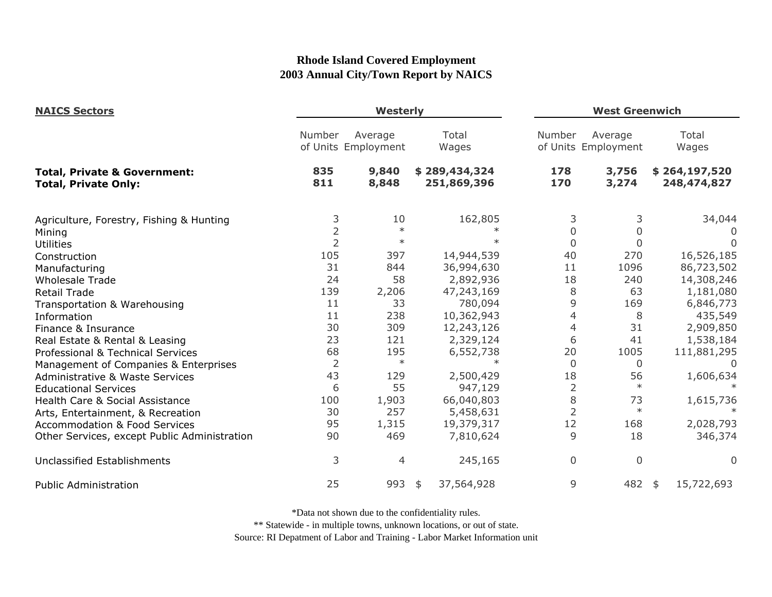| <b>NAICS Sectors</b>                                                   | Westerly       |                                |                              |                | <b>West Greenwich</b>          |                              |  |
|------------------------------------------------------------------------|----------------|--------------------------------|------------------------------|----------------|--------------------------------|------------------------------|--|
|                                                                        | Number         | Average<br>of Units Employment | Total<br>Wages               | Number         | Average<br>of Units Employment | Total<br>Wages               |  |
| <b>Total, Private &amp; Government:</b><br><b>Total, Private Only:</b> | 835<br>811     | 9,840<br>8,848                 | \$289,434,324<br>251,869,396 | 178<br>170     | 3,756<br>3,274                 | \$264,197,520<br>248,474,827 |  |
| Agriculture, Forestry, Fishing & Hunting                               | 3              | 10                             | 162,805                      | 3              | 3                              | 34,044                       |  |
| Mining                                                                 | $\overline{2}$ | $\ast$                         |                              | $\Omega$       | 0                              |                              |  |
| <b>Utilities</b>                                                       | $\overline{2}$ | $\ast$                         |                              | $\mathbf 0$    | $\Omega$                       |                              |  |
| Construction                                                           | 105            | 397                            | 14,944,539                   | 40             | 270                            | 16,526,185                   |  |
| Manufacturing                                                          | 31             | 844                            | 36,994,630                   | 11             | 1096                           | 86,723,502                   |  |
| <b>Wholesale Trade</b>                                                 | 24             | 58                             | 2,892,936                    | 18             | 240                            | 14,308,246                   |  |
| <b>Retail Trade</b>                                                    | 139            | 2,206                          | 47,243,169                   | 8              | 63                             | 1,181,080                    |  |
| Transportation & Warehousing                                           | 11             | 33                             | 780,094                      | 9              | 169                            | 6,846,773                    |  |
| Information                                                            | 11             | 238                            | 10,362,943                   | 4              | 8                              | 435,549                      |  |
| Finance & Insurance                                                    | 30             | 309                            | 12,243,126                   | 4              | 31                             | 2,909,850                    |  |
| Real Estate & Rental & Leasing                                         | 23             | 121                            | 2,329,124                    | 6              | 41                             | 1,538,184                    |  |
| Professional & Technical Services                                      | 68             | 195                            | 6,552,738                    | 20             | 1005                           | 111,881,295                  |  |
| Management of Companies & Enterprises                                  | $\overline{2}$ | $\ast$                         | $\ast$                       | $\Omega$       | $\Omega$                       | $\Omega$                     |  |
| Administrative & Waste Services                                        | 43             | 129                            | 2,500,429                    | 18             | 56                             | 1,606,634                    |  |
| <b>Educational Services</b>                                            | 6              | 55                             | 947,129                      | $\overline{2}$ | $\ast$                         |                              |  |
| Health Care & Social Assistance                                        | 100            | 1,903                          | 66,040,803                   | 8              | 73                             | 1,615,736                    |  |
| Arts, Entertainment, & Recreation                                      | 30             | 257                            | 5,458,631                    | $\overline{2}$ | $\ast$                         |                              |  |
| <b>Accommodation &amp; Food Services</b>                               | 95             | 1,315                          | 19,379,317                   | 12             | 168                            | 2,028,793                    |  |
| Other Services, except Public Administration                           | 90             | 469                            | 7,810,624                    | 9              | 18                             | 346,374                      |  |
| Unclassified Establishments                                            | 3              | 4                              | 245,165                      | 0              | $\mathbf 0$                    | $\Omega$                     |  |
| <b>Public Administration</b>                                           | 25             | 993                            | 37,564,928<br>$\frac{1}{2}$  | 9              | 482                            | 15,722,693<br>\$             |  |

\*Data not shown due to the confidentiality rules.

\*\* Statewide - in multiple towns, unknown locations, or out of state.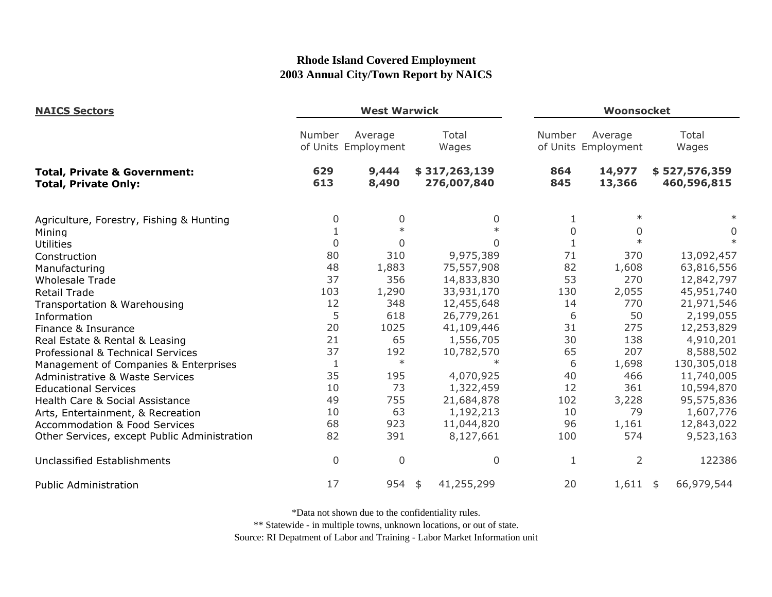| <b>NAICS Sectors</b>                                                   | <b>West Warwick</b> |                                |                              |            | Woonsocket                     |                              |  |
|------------------------------------------------------------------------|---------------------|--------------------------------|------------------------------|------------|--------------------------------|------------------------------|--|
|                                                                        | Number              | Average<br>of Units Employment | Total<br>Wages               | Number     | Average<br>of Units Employment | Total<br>Wages               |  |
| <b>Total, Private &amp; Government:</b><br><b>Total, Private Only:</b> | 629<br>613          | 9,444<br>8,490                 | \$317,263,139<br>276,007,840 | 864<br>845 | 14,977<br>13,366               | \$527,576,359<br>460,596,815 |  |
| Agriculture, Forestry, Fishing & Hunting                               | 0                   | 0                              | 0                            |            | $\ast$                         |                              |  |
| Mining                                                                 | $\mathbf{1}$        | $\ast$                         | $\ast$                       | $\Omega$   | 0                              | 0                            |  |
| <b>Utilities</b>                                                       | $\mathbf 0$         | 0                              | 0                            |            | $\ast$                         | $\ast$                       |  |
| Construction                                                           | 80                  | 310                            | 9,975,389                    | 71         | 370                            | 13,092,457                   |  |
| Manufacturing                                                          | 48                  | 1,883                          | 75,557,908                   | 82         | 1,608                          | 63,816,556                   |  |
| <b>Wholesale Trade</b>                                                 | 37                  | 356                            | 14,833,830                   | 53         | 270                            | 12,842,797                   |  |
| <b>Retail Trade</b>                                                    | 103                 | 1,290                          | 33,931,170                   | 130        | 2,055                          | 45,951,740                   |  |
| Transportation & Warehousing                                           | 12                  | 348                            | 12,455,648                   | 14         | 770                            | 21,971,546                   |  |
| Information                                                            | 5                   | 618                            | 26,779,261                   | 6          | 50                             | 2,199,055                    |  |
| Finance & Insurance                                                    | 20                  | 1025                           | 41,109,446                   | 31         | 275                            | 12,253,829                   |  |
| Real Estate & Rental & Leasing                                         | 21                  | 65                             | 1,556,705                    | 30         | 138                            | 4,910,201                    |  |
| Professional & Technical Services                                      | 37                  | 192                            | 10,782,570                   | 65         | 207                            | 8,588,502                    |  |
| Management of Companies & Enterprises                                  | 1                   | $\ast$                         | $\ast$                       | 6          | 1,698                          | 130,305,018                  |  |
| <b>Administrative &amp; Waste Services</b>                             | 35                  | 195                            | 4,070,925                    | 40         | 466                            | 11,740,005                   |  |
| <b>Educational Services</b>                                            | 10                  | 73                             | 1,322,459                    | 12         | 361                            | 10,594,870                   |  |
| Health Care & Social Assistance                                        | 49                  | 755                            | 21,684,878                   | 102        | 3,228                          | 95,575,836                   |  |
| Arts, Entertainment, & Recreation                                      | 10                  | 63                             | 1,192,213                    | 10         | 79                             | 1,607,776                    |  |
| <b>Accommodation &amp; Food Services</b>                               | 68                  | 923                            | 11,044,820                   | 96         | 1,161                          | 12,843,022                   |  |
| Other Services, except Public Administration                           | 82                  | 391                            | 8,127,661                    | 100        | 574                            | 9,523,163                    |  |
| Unclassified Establishments                                            | $\overline{0}$      | $\mathbf 0$                    | $\mathbf 0$                  | 1          | $\overline{2}$                 | 122386                       |  |
| <b>Public Administration</b>                                           | 17                  | 954                            | 41,255,299<br>\$             | 20         | $1,611$ \$                     | 66,979,544                   |  |

\*Data not shown due to the confidentiality rules.

\*\* Statewide - in multiple towns, unknown locations, or out of state.